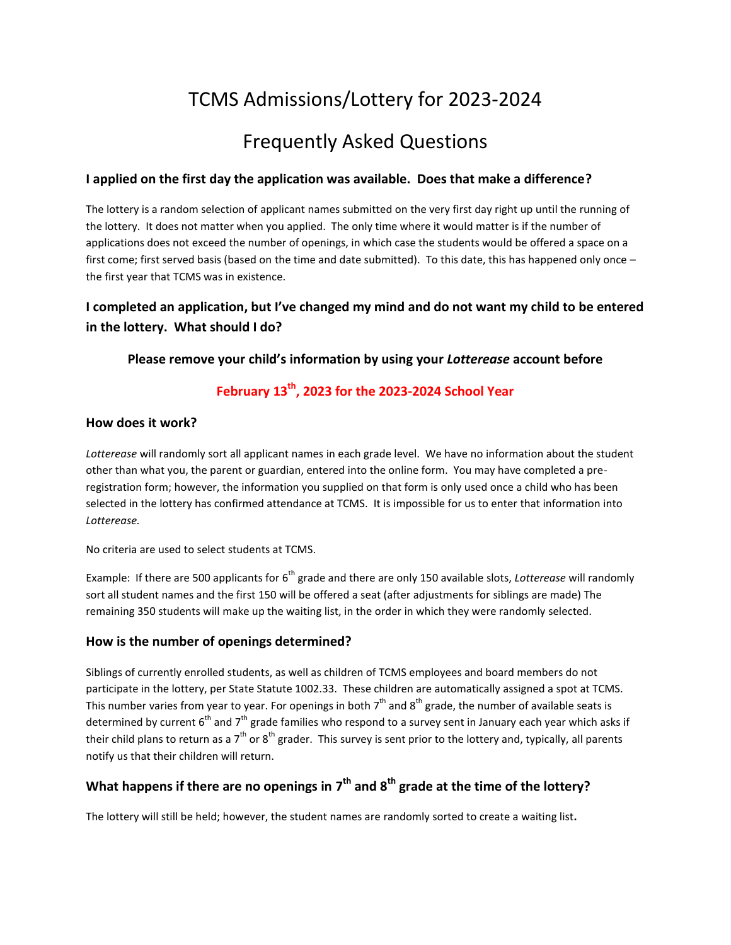# TCMS Admissions/Lottery for 2023-2024

# Frequently Asked Questions

#### **I applied on the first day the application was available. Does that make a difference?**

The lottery is a random selection of applicant names submitted on the very first day right up until the running of the lottery. It does not matter when you applied. The only time where it would matter is if the number of applications does not exceed the number of openings, in which case the students would be offered a space on a first come; first served basis (based on the time and date submitted). To this date, this has happened only once – the first year that TCMS was in existence.

## **I completed an application, but I've changed my mind and do not want my child to be entered in the lottery. What should I do?**

## **Please remove your child's information by using your** *Lotterease* **account before**

# **February 13th, 2023 for the 2023-2024 School Year**

#### **How does it work?**

*Lotterease* will randomly sort all applicant names in each grade level. We have no information about the student other than what you, the parent or guardian, entered into the online form. You may have completed a preregistration form; however, the information you supplied on that form is only used once a child who has been selected in the lottery has confirmed attendance at TCMS. It is impossible for us to enter that information into *Lotterease.*

No criteria are used to select students at TCMS.

Example: If there are 500 applicants for 6<sup>th</sup> grade and there are only 150 available slots, *Lotterease* will randomly sort all student names and the first 150 will be offered a seat (after adjustments for siblings are made) The remaining 350 students will make up the waiting list, in the order in which they were randomly selected.

#### **How is the number of openings determined?**

Siblings of currently enrolled students, as well as children of TCMS employees and board members do not participate in the lottery, per State Statute 1002.33. These children are automatically assigned a spot at TCMS. This number varies from year to year. For openings in both  $7^{\text{th}}$  and  $8^{\text{th}}$  grade, the number of available seats is determined by current  $6^{th}$  and  $7^{th}$  grade families who respond to a survey sent in January each year which asks if their child plans to return as a 7<sup>th</sup> or 8<sup>th</sup> grader. This survey is sent prior to the lottery and, typically, all parents notify us that their children will return.

## **What happens if there are no openings in 7 th and 8th grade at the time of the lottery?**

The lottery will still be held; however, the student names are randomly sorted to create a waiting list**.**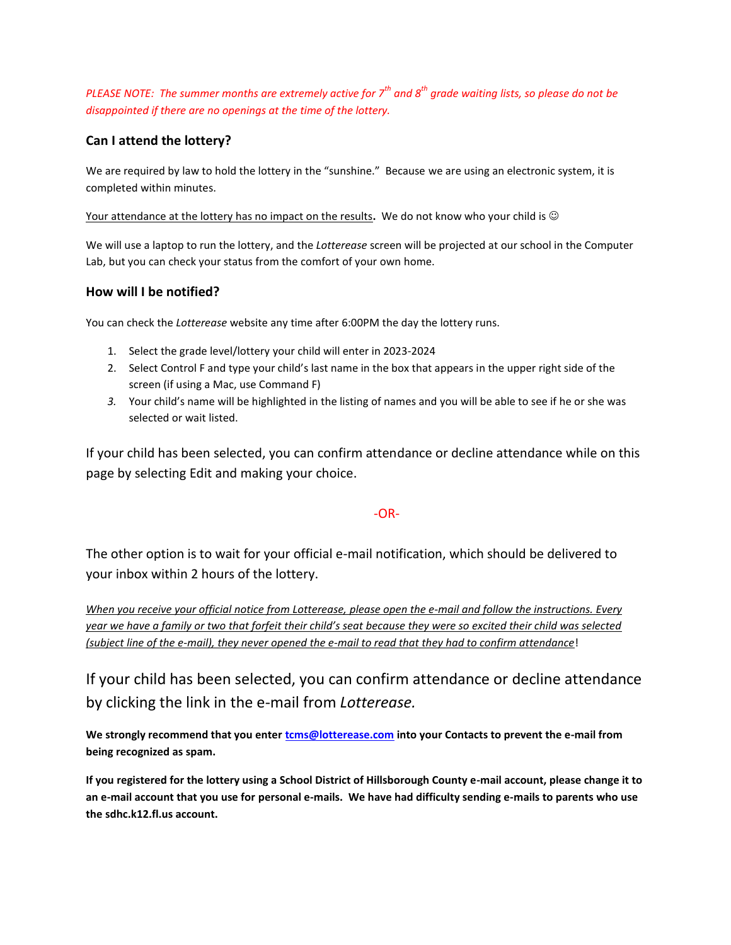*PLEASE NOTE: The summer months are extremely active for 7th and 8th grade waiting lists, so please do not be disappointed if there are no openings at the time of the lottery.* 

## **Can I attend the lottery?**

We are required by law to hold the lottery in the "sunshine." Because we are using an electronic system, it is completed within minutes.

Your attendance at the lottery has no impact on the results**.** We do not know who your child is

We will use a laptop to run the lottery, and the *Lotterease* screen will be projected at our school in the Computer Lab, but you can check your status from the comfort of your own home.

## **How will I be notified?**

You can check the *Lotterease* website any time after 6:00PM the day the lottery runs.

- 1. Select the grade level/lottery your child will enter in 2023-2024
- 2. Select Control F and type your child's last name in the box that appears in the upper right side of the screen (if using a Mac, use Command F)
- *3.* Your child's name will be highlighted in the listing of names and you will be able to see if he or she was selected or wait listed.

If your child has been selected, you can confirm attendance or decline attendance while on this page by selecting Edit and making your choice.

## -OR-

The other option is to wait for your official e-mail notification, which should be delivered to your inbox within 2 hours of the lottery.

*When you receive your official notice from Lotterease, please open the e-mail and follow the instructions. Every year we have a family or two that forfeit their child's seat because they were so excited their child was selected (subject line of the e-mail), they never opened the e-mail to read that they had to confirm attendance*!

If your child has been selected, you can confirm attendance or decline attendance by clicking the link in the e-mail from *Lotterease.*

**We strongly recommend that you ente[r tcms@lotterease.com](mailto:tcms@lotterease.com) into your Contacts to prevent the e-mail from being recognized as spam.**

**If you registered for the lottery using a School District of Hillsborough County e-mail account, please change it to an e-mail account that you use for personal e-mails. We have had difficulty sending e-mails to parents who use the sdhc.k12.fl.us account.**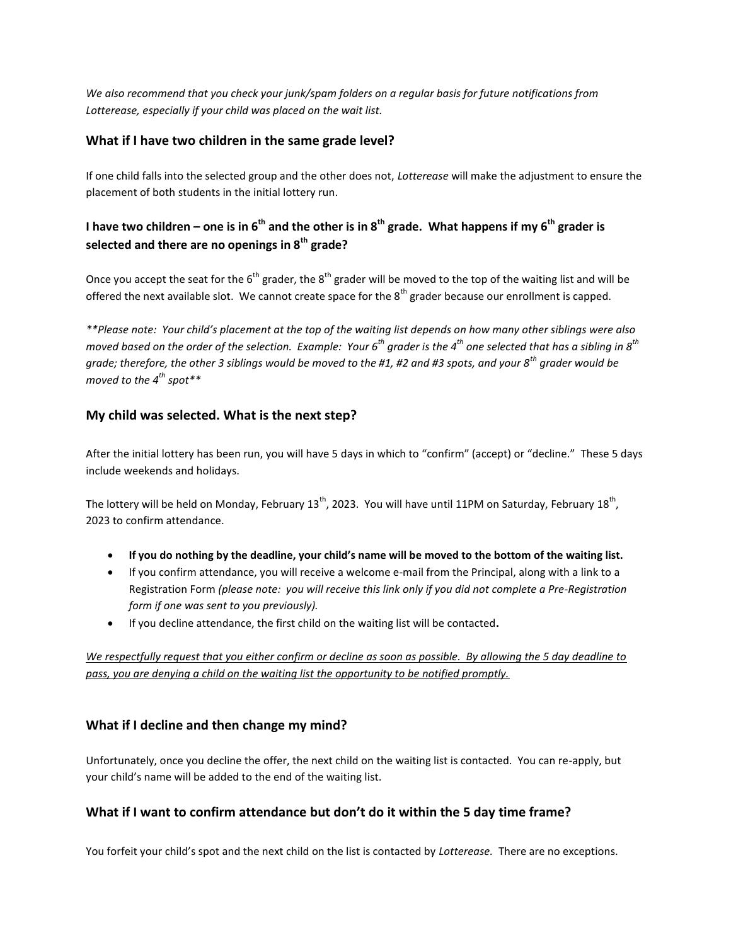*We also recommend that you check your junk/spam folders on a regular basis for future notifications from Lotterease, especially if your child was placed on the wait list.*

## **What if I have two children in the same grade level?**

If one child falls into the selected group and the other does not, *Lotterease* will make the adjustment to ensure the placement of both students in the initial lottery run.

## **I have two children – one is in 6th and the other is in 8th grade. What happens if my 6th grader is selected and there are no openings in 8th grade?**

Once you accept the seat for the  $6<sup>th</sup>$  grader, the  $8<sup>th</sup>$  grader will be moved to the top of the waiting list and will be offered the next available slot. We cannot create space for the  $8<sup>th</sup>$  grader because our enrollment is capped.

*\*\*Please note: Your child's placement at the top of the waiting list depends on how many other siblings were also moved based on the order of the selection. Example: Your 6th grader is the 4th one selected that has a sibling in 8th grade; therefore, the other 3 siblings would be moved to the #1, #2 and #3 spots, and your 8th grader would be moved to the 4th spot\*\**

## **My child was selected. What is the next step?**

After the initial lottery has been run, you will have 5 days in which to "confirm" (accept) or "decline." These 5 days include weekends and holidays.

The lottery will be held on Monday, February 13<sup>th</sup>, 2023. You will have until 11PM on Saturday, February 18<sup>th</sup>, 2023 to confirm attendance.

- **If you do nothing by the deadline, your child's name will be moved to the bottom of the waiting list.**
- If you confirm attendance, you will receive a welcome e-mail from the Principal, along with a link to a Registration Form *(please note: you will receive this link only if you did not complete a Pre-Registration form if one was sent to you previously).*
- If you decline attendance, the first child on the waiting list will be contacted**.**

*We respectfully request that you either confirm or decline as soon as possible. By allowing the 5 day deadline to pass, you are denying a child on the waiting list the opportunity to be notified promptly.*

## **What if I decline and then change my mind?**

Unfortunately, once you decline the offer, the next child on the waiting list is contacted. You can re-apply, but your child's name will be added to the end of the waiting list.

## **What if I want to confirm attendance but don't do it within the 5 day time frame?**

You forfeit your child's spot and the next child on the list is contacted by *Lotterease.* There are no exceptions.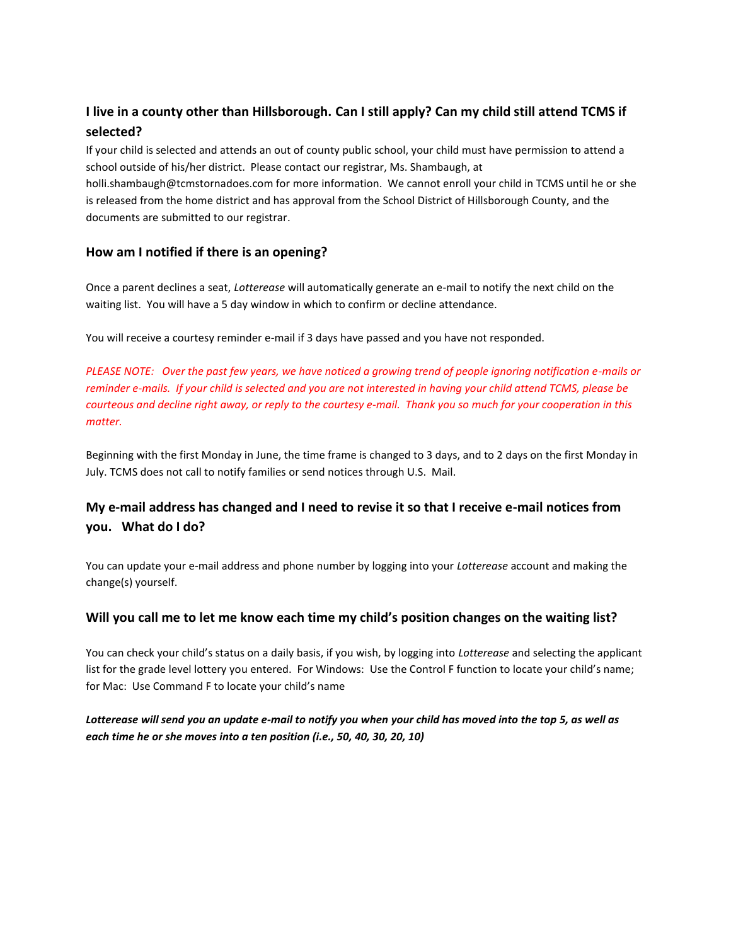## **I live in a county other than Hillsborough. Can I still apply? Can my child still attend TCMS if selected?**

If your child is selected and attends an out of county public school, your child must have permission to attend a school outside of his/her district. Please contact our registrar, Ms. Shambaugh, at

holli.shambaugh@tcmstornadoes.com for more information. We cannot enroll your child in TCMS until he or she is released from the home district and has approval from the School District of Hillsborough County, and the documents are submitted to our registrar.

## **How am I notified if there is an opening?**

Once a parent declines a seat, *Lotterease* will automatically generate an e-mail to notify the next child on the waiting list. You will have a 5 day window in which to confirm or decline attendance.

You will receive a courtesy reminder e-mail if 3 days have passed and you have not responded.

*PLEASE NOTE: Over the past few years, we have noticed a growing trend of people ignoring notification e-mails or reminder e-mails. If your child is selected and you are not interested in having your child attend TCMS, please be courteous and decline right away, or reply to the courtesy e-mail. Thank you so much for your cooperation in this matter.*

Beginning with the first Monday in June, the time frame is changed to 3 days, and to 2 days on the first Monday in July. TCMS does not call to notify families or send notices through U.S. Mail.

## **My e-mail address has changed and I need to revise it so that I receive e-mail notices from you. What do I do?**

You can update your e-mail address and phone number by logging into your *Lotterease* account and making the change(s) yourself.

#### **Will you call me to let me know each time my child's position changes on the waiting list?**

You can check your child's status on a daily basis, if you wish, by logging into *Lotterease* and selecting the applicant list for the grade level lottery you entered. For Windows: Use the Control F function to locate your child's name; for Mac: Use Command F to locate your child's name

## *Lotterease will send you an update e-mail to notify you when your child has moved into the top 5, as well as each time he or she moves into a ten position (i.e., 50, 40, 30, 20, 10)*